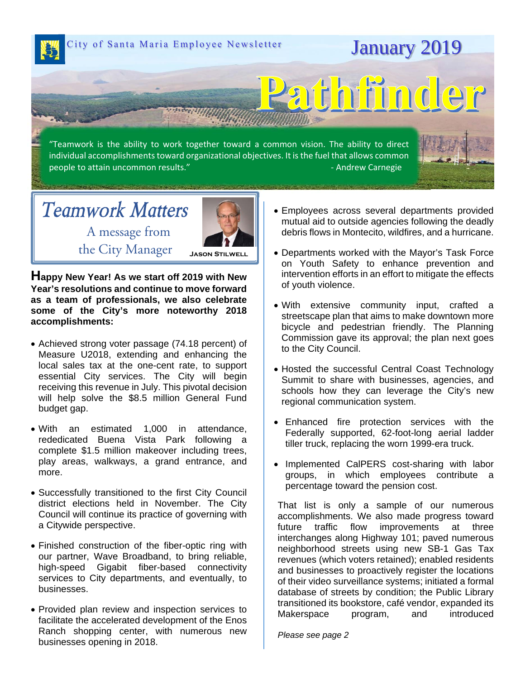City of Santa Maria Employee Newsletter **January 2019** 

"Teamwork is the ability to work together toward a common vision. The ability to direct individual accomplishments toward organizational objectives. It is the fuel that allows common people to attain uncommon results." ‐ Andrew Carnegie

## *Teamwork Matters*A message from



the City Manager **Jason Stilwell**

**Happy New Year! As we start off 2019 with New Year's resolutions and continue to move forward as a team of professionals, we also celebrate some of the City's more noteworthy 2018 accomplishments:** 

- Achieved strong voter passage (74.18 percent) of Measure U2018, extending and enhancing the local sales tax at the one-cent rate, to support essential City services. The City will begin receiving this revenue in July. This pivotal decision will help solve the \$8.5 million General Fund budget gap.
- With an estimated 1,000 in attendance, rededicated Buena Vista Park following a complete \$1.5 million makeover including trees, play areas, walkways, a grand entrance, and more.
- Successfully transitioned to the first City Council district elections held in November. The City Council will continue its practice of governing with a Citywide perspective.
- Finished construction of the fiber-optic ring with our partner, Wave Broadband, to bring reliable, high-speed Gigabit fiber-based connectivity services to City departments, and eventually, to businesses.
- Provided plan review and inspection services to facilitate the accelerated development of the Enos Ranch shopping center, with numerous new businesses opening in 2018.

 Employees across several departments provided mutual aid to outside agencies following the deadly debris flows in Montecito, wildfires, and a hurricane.

Pathfind

- Departments worked with the Mayor's Task Force on Youth Safety to enhance prevention and intervention efforts in an effort to mitigate the effects of youth violence.
- With extensive community input, crafted a streetscape plan that aims to make downtown more bicycle and pedestrian friendly. The Planning Commission gave its approval; the plan next goes to the City Council.
- Hosted the successful Central Coast Technology Summit to share with businesses, agencies, and schools how they can leverage the City's new regional communication system.
- Enhanced fire protection services with the Federally supported, 62-foot-long aerial ladder tiller truck, replacing the worn 1999-era truck.
- Implemented CalPERS cost-sharing with labor groups, in which employees contribute a percentage toward the pension cost.

That list is only a sample of our numerous accomplishments. We also made progress toward future traffic flow improvements at three interchanges along Highway 101; paved numerous neighborhood streets using new SB-1 Gas Tax revenues (which voters retained); enabled residents and businesses to proactively register the locations of their video surveillance systems; initiated a formal database of streets by condition; the Public Library transitioned its bookstore, café vendor, expanded its Makerspace program, and introduced

*Please see page 2*